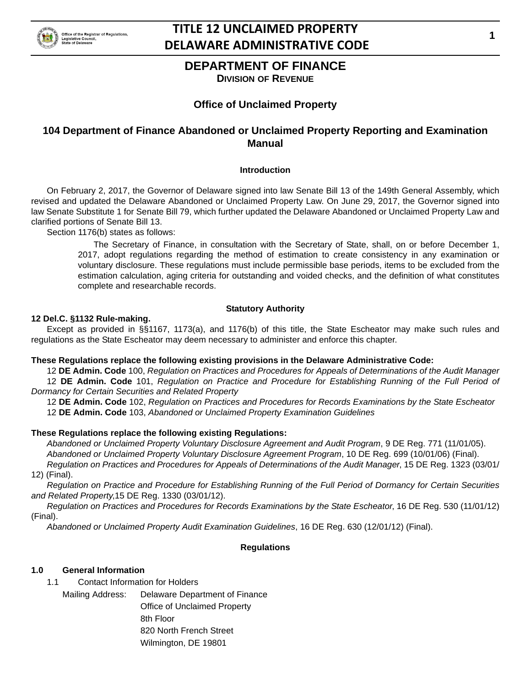

# **DEPARTMENT OF FINANCE**

**DIVISION OF REVENUE**

# **Office of Unclaimed Property**

# **104 Department of Finance Abandoned or Unclaimed Property Reporting and Examination Manual**

## **Introduction**

On February 2, 2017, the Governor of Delaware signed into law Senate Bill 13 of the 149th General Assembly, which revised and updated the Delaware Abandoned or Unclaimed Property Law. On June 29, 2017, the Governor signed into law Senate Substitute 1 for Senate Bill 79, which further updated the Delaware Abandoned or Unclaimed Property Law and clarified portions of Senate Bill 13.

Section 1176(b) states as follows:

The Secretary of Finance, in consultation with the Secretary of State, shall, on or before December 1, 2017, adopt regulations regarding the method of estimation to create consistency in any examination or voluntary disclosure. These regulations must include permissible base periods, items to be excluded from the estimation calculation, aging criteria for outstanding and voided checks, and the definition of what constitutes complete and researchable records.

### **Statutory Authority**

### **12 Del.C. §1132 Rule-making.**

Except as provided in §§1167, 1173(a), and 1176(b) of this title, the State Escheator may make such rules and regulations as the State Escheator may deem necessary to administer and enforce this chapter.

### **These Regulations replace the following existing provisions in the Delaware Administrative Code:**

12 **DE Admin. Code** 100, *Regulation on Practices and Procedures for Appeals of Determinations of the Audit Manager* 12 **DE Admin. Code** 101, *Regulation on Practice and Procedure for Establishing Running of the Full Period of Dormancy for Certain Securities and Related Property*

12 **DE Admin. Code** 102, *Regulation on Practices and Procedures for Records Examinations by the State Escheator* 12 **DE Admin. Code** 103, *Abandoned or Unclaimed Property Examination Guidelines*

### **These Regulations replace the following existing Regulations:**

*Abandoned or Unclaimed Property Voluntary Disclosure Agreement and Audit Program*, 9 DE Reg. 771 (11/01/05). *Abandoned or Unclaimed Property Voluntary Disclosure Agreement Program*, 10 DE Reg. 699 (10/01/06) (Final). *Regulation on Practices and Procedures for Appeals of Determinations of the Audit Manager*, 15 DE Reg. 1323 (03/01/ 12) (Final).

*Regulation on Practice and Procedure for Establishing Running of the Full Period of Dormancy for Certain Securities and Related Property*,15 DE Reg. 1330 (03/01/12).

*Regulation on Practices and Procedures for Records Examinations by the State Escheator*, 16 DE Reg. 530 (11/01/12) (Final).

*Abandoned or Unclaimed Property Audit Examination Guidelines*, 16 DE Reg. 630 (12/01/12) (Final).

### **Regulations**

### **1.0 General Information**

- 1.1 Contact Information for Holders
	- Mailing Address: Delaware Department of Finance Office of Unclaimed Property 8th Floor 820 North French Street Wilmington, DE 19801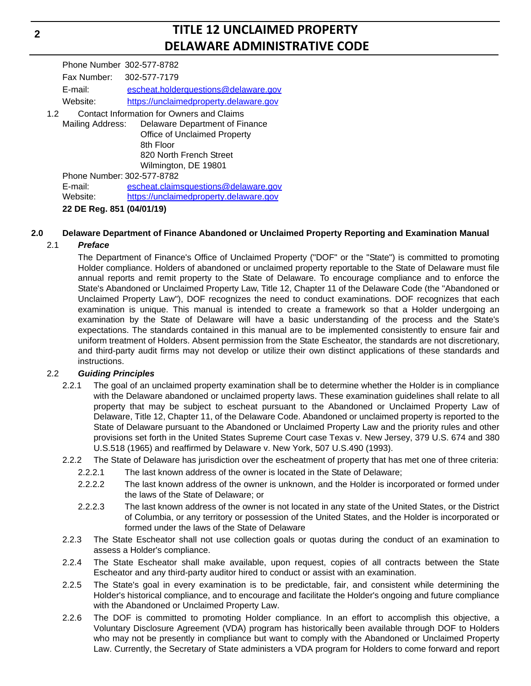Phone Number 302-577-8782 Fax Number: 302-577-7179 E-mail: escheat.holderquestions@delaware.gov Website: https://unclaimedproperty.delaware.gov

1.2 Contact Information for Owners and Claims Mailing Address: Delaware Department of Finance Office of Unclaimed Property 8th Floor 820 North French Street Wilmington, DE 19801 Phone Number: 302-577-8782

E-mail: escheat.claimsquestions@delaware.gov Website: https://unclaimedproperty.delaware.gov

**22 DE Reg. 851 (04/01/19)**

# **2.0 Delaware Department of Finance Abandoned or Unclaimed Property Reporting and Examination Manual**

# 2.1 *Preface*

The Department of Finance's Office of Unclaimed Property ("DOF" or the "State") is committed to promoting Holder compliance. Holders of abandoned or unclaimed property reportable to the State of Delaware must file annual reports and remit property to the State of Delaware. To encourage compliance and to enforce the State's Abandoned or Unclaimed Property Law, Title 12, Chapter 11 of the Delaware Code (the "Abandoned or Unclaimed Property Law"), DOF recognizes the need to conduct examinations. DOF recognizes that each examination is unique. This manual is intended to create a framework so that a Holder undergoing an examination by the State of Delaware will have a basic understanding of the process and the State's expectations. The standards contained in this manual are to be implemented consistently to ensure fair and uniform treatment of Holders. Absent permission from the State Escheator, the standards are not discretionary, and third-party audit firms may not develop or utilize their own distinct applications of these standards and instructions.

# 2.2 *Guiding Principles*

- 2.2.1 The goal of an unclaimed property examination shall be to determine whether the Holder is in compliance with the Delaware abandoned or unclaimed property laws. These examination guidelines shall relate to all property that may be subject to escheat pursuant to the Abandoned or Unclaimed Property Law of Delaware, Title 12, Chapter 11, of the Delaware Code. Abandoned or unclaimed property is reported to the State of Delaware pursuant to the Abandoned or Unclaimed Property Law and the priority rules and other provisions set forth in the United States Supreme Court case Texas v. New Jersey, 379 U.S. 674 and 380 U.S.518 (1965) and reaffirmed by Delaware v. New York, 507 U.S.490 (1993).
- 2.2.2 The State of Delaware has jurisdiction over the escheatment of property that has met one of three criteria:
	- 2.2.2.1 The last known address of the owner is located in the State of Delaware;
	- 2.2.2.2 The last known address of the owner is unknown, and the Holder is incorporated or formed under the laws of the State of Delaware; or
	- 2.2.2.3 The last known address of the owner is not located in any state of the United States, or the District of Columbia, or any territory or possession of the United States, and the Holder is incorporated or formed under the laws of the State of Delaware
- 2.2.3 The State Escheator shall not use collection goals or quotas during the conduct of an examination to assess a Holder's compliance.
- 2.2.4 The State Escheator shall make available, upon request, copies of all contracts between the State Escheator and any third-party auditor hired to conduct or assist with an examination.
- 2.2.5 The State's goal in every examination is to be predictable, fair, and consistent while determining the Holder's historical compliance, and to encourage and facilitate the Holder's ongoing and future compliance with the Abandoned or Unclaimed Property Law.
- 2.2.6 The DOF is committed to promoting Holder compliance. In an effort to accomplish this objective, a Voluntary Disclosure Agreement (VDA) program has historically been available through DOF to Holders who may not be presently in compliance but want to comply with the Abandoned or Unclaimed Property Law. Currently, the Secretary of State administers a VDA program for Holders to come forward and report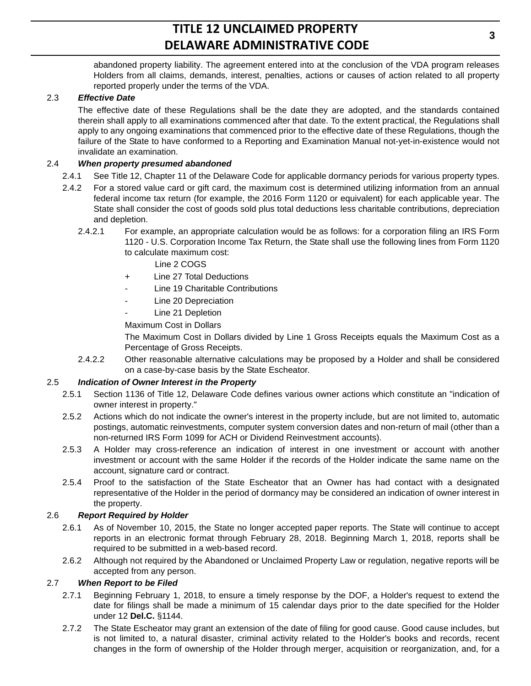abandoned property liability. The agreement entered into at the conclusion of the VDA program releases Holders from all claims, demands, interest, penalties, actions or causes of action related to all property reported properly under the terms of the VDA.

# 2.3 *Effective Date*

The effective date of these Regulations shall be the date they are adopted, and the standards contained therein shall apply to all examinations commenced after that date. To the extent practical, the Regulations shall apply to any ongoing examinations that commenced prior to the effective date of these Regulations, though the failure of the State to have conformed to a Reporting and Examination Manual not-yet-in-existence would not invalidate an examination.

## 2.4 *When property presumed abandoned*

- 2.4.1 See Title 12, Chapter 11 of the Delaware Code for applicable dormancy periods for various property types.
- 2.4.2 For a stored value card or gift card, the maximum cost is determined utilizing information from an annual federal income tax return (for example, the 2016 Form 1120 or equivalent) for each applicable year. The State shall consider the cost of goods sold plus total deductions less charitable contributions, depreciation and depletion.
	- 2.4.2.1 For example, an appropriate calculation would be as follows: for a corporation filing an IRS Form 1120 - U.S. Corporation Income Tax Return, the State shall use the following lines from Form 1120 to calculate maximum cost:

Line 2 COGS

- + Line 27 Total Deductions
- Line 19 Charitable Contributions
- Line 20 Depreciation
- Line 21 Depletion

Maximum Cost in Dollars

The Maximum Cost in Dollars divided by Line 1 Gross Receipts equals the Maximum Cost as a Percentage of Gross Receipts.

2.4.2.2 Other reasonable alternative calculations may be proposed by a Holder and shall be considered on a case-by-case basis by the State Escheator.

### 2.5 *Indication of Owner Interest in the Property*

- 2.5.1 Section 1136 of Title 12, Delaware Code defines various owner actions which constitute an "indication of owner interest in property."
- 2.5.2 Actions which do not indicate the owner's interest in the property include, but are not limited to, automatic postings, automatic reinvestments, computer system conversion dates and non-return of mail (other than a non-returned IRS Form 1099 for ACH or Dividend Reinvestment accounts).
- 2.5.3 A Holder may cross-reference an indication of interest in one investment or account with another investment or account with the same Holder if the records of the Holder indicate the same name on the account, signature card or contract.
- 2.5.4 Proof to the satisfaction of the State Escheator that an Owner has had contact with a designated representative of the Holder in the period of dormancy may be considered an indication of owner interest in the property.

### 2.6 *Report Required by Holder*

- 2.6.1 As of November 10, 2015, the State no longer accepted paper reports. The State will continue to accept reports in an electronic format through February 28, 2018. Beginning March 1, 2018, reports shall be required to be submitted in a web-based record.
- 2.6.2 Although not required by the Abandoned or Unclaimed Property Law or regulation, negative reports will be accepted from any person.

# 2.7 *When Report to be Filed*

- 2.7.1 Beginning February 1, 2018, to ensure a timely response by the DOF, a Holder's request to extend the date for filings shall be made a minimum of 15 calendar days prior to the date specified for the Holder under 12 **Del.C.** §1144.
- 2.7.2 The State Escheator may grant an extension of the date of filing for good cause. Good cause includes, but is not limited to, a natural disaster, criminal activity related to the Holder's books and records, recent changes in the form of ownership of the Holder through merger, acquisition or reorganization, and, for a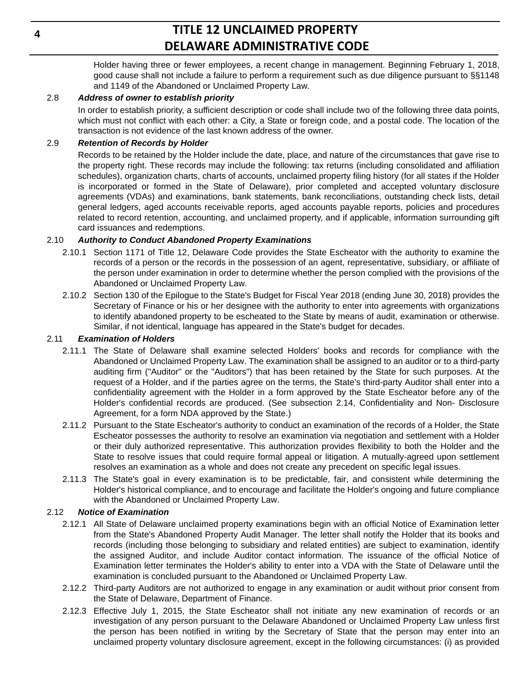Holder having three or fewer employees, a recent change in management. Beginning February 1, 2018, good cause shall not include a failure to perform a requirement such as due diligence pursuant to §§1148 and 1149 of the Abandoned or Unclaimed Property Law.

## 2.8 *Address of owner to establish priority*

In order to establish priority, a sufficient description or code shall include two of the following three data points, which must not conflict with each other: a City, a State or foreign code, and a postal code. The location of the transaction is not evidence of the last known address of the owner.

## 2.9 *Retention of Records by Holder*

Records to be retained by the Holder include the date, place, and nature of the circumstances that gave rise to the property right. These records may include the following: tax returns (including consolidated and affiliation schedules), organization charts, charts of accounts, unclaimed property filing history (for all states if the Holder is incorporated or formed in the State of Delaware), prior completed and accepted voluntary disclosure agreements (VDAs) and examinations, bank statements, bank reconciliations, outstanding check lists, detail general ledgers, aged accounts receivable reports, aged accounts payable reports, policies and procedures related to record retention, accounting, and unclaimed property, and if applicable, information surrounding gift card issuances and redemptions.

## 2.10 *Authority to Conduct Abandoned Property Examinations*

- 2.10.1 Section 1171 of Title 12, Delaware Code provides the State Escheator with the authority to examine the records of a person or the records in the possession of an agent, representative, subsidiary, or affiliate of the person under examination in order to determine whether the person complied with the provisions of the Abandoned or Unclaimed Property Law.
- 2.10.2 Section 130 of the Epilogue to the State's Budget for Fiscal Year 2018 (ending June 30, 2018) provides the Secretary of Finance or his or her designee with the authority to enter into agreements with organizations to identify abandoned property to be escheated to the State by means of audit, examination or otherwise. Similar, if not identical, language has appeared in the State's budget for decades.

## 2.11 *Examination of Holders*

- 2.11.1 The State of Delaware shall examine selected Holders' books and records for compliance with the Abandoned or Unclaimed Property Law. The examination shall be assigned to an auditor or to a third-party auditing firm ("Auditor" or the "Auditors") that has been retained by the State for such purposes. At the request of a Holder, and if the parties agree on the terms, the State's third-party Auditor shall enter into a confidentiality agreement with the Holder in a form approved by the State Escheator before any of the Holder's confidential records are produced. (See subsection 2.14, Confidentiality and Non- Disclosure Agreement, for a form NDA approved by the State.)
- 2.11.2 Pursuant to the State Escheator's authority to conduct an examination of the records of a Holder, the State Escheator possesses the authority to resolve an examination via negotiation and settlement with a Holder or their duly authorized representative. This authorization provides flexibility to both the Holder and the State to resolve issues that could require formal appeal or litigation. A mutually-agreed upon settlement resolves an examination as a whole and does not create any precedent on specific legal issues.
- 2.11.3 The State's goal in every examination is to be predictable, fair, and consistent while determining the Holder's historical compliance, and to encourage and facilitate the Holder's ongoing and future compliance with the Abandoned or Unclaimed Property Law.

### 2.12 *Notice of Examination*

- 2.12.1 All State of Delaware unclaimed property examinations begin with an official Notice of Examination letter from the State's Abandoned Property Audit Manager. The letter shall notify the Holder that its books and records (including those belonging to subsidiary and related entities) are subject to examination, identify the assigned Auditor, and include Auditor contact information. The issuance of the official Notice of Examination letter terminates the Holder's ability to enter into a VDA with the State of Delaware until the examination is concluded pursuant to the Abandoned or Unclaimed Property Law.
- 2.12.2 Third-party Auditors are not authorized to engage in any examination or audit without prior consent from the State of Delaware, Department of Finance.
- 2.12.3 Effective July 1, 2015, the State Escheator shall not initiate any new examination of records or an investigation of any person pursuant to the Delaware Abandoned or Unclaimed Property Law unless first the person has been notified in writing by the Secretary of State that the person may enter into an unclaimed property voluntary disclosure agreement, except in the following circumstances: (i) as provided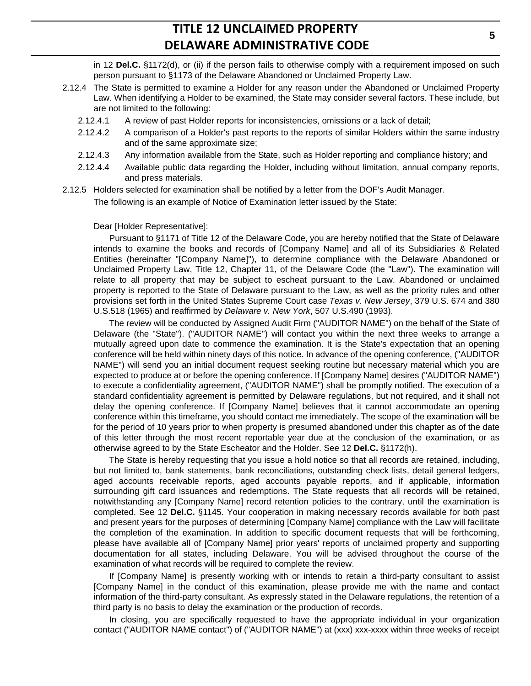in 12 **Del.C.** §1172(d), or (ii) if the person fails to otherwise comply with a requirement imposed on such person pursuant to §1173 of the Delaware Abandoned or Unclaimed Property Law.

- 2.12.4 The State is permitted to examine a Holder for any reason under the Abandoned or Unclaimed Property Law. When identifying a Holder to be examined, the State may consider several factors. These include, but are not limited to the following:
	- 2.12.4.1 A review of past Holder reports for inconsistencies, omissions or a lack of detail;
	- 2.12.4.2 A comparison of a Holder's past reports to the reports of similar Holders within the same industry and of the same approximate size;
	- 2.12.4.3 Any information available from the State, such as Holder reporting and compliance history; and
	- 2.12.4.4 Available public data regarding the Holder, including without limitation, annual company reports, and press materials.
- 2.12.5 Holders selected for examination shall be notified by a letter from the DOF's Audit Manager. The following is an example of Notice of Examination letter issued by the State:

#### Dear [Holder Representative]:

Pursuant to §1171 of Title 12 of the Delaware Code, you are hereby notified that the State of Delaware intends to examine the books and records of [Company Name] and all of its Subsidiaries & Related Entities (hereinafter "[Company Name]"), to determine compliance with the Delaware Abandoned or Unclaimed Property Law, Title 12, Chapter 11, of the Delaware Code (the "Law"). The examination will relate to all property that may be subject to escheat pursuant to the Law. Abandoned or unclaimed property is reported to the State of Delaware pursuant to the Law, as well as the priority rules and other provisions set forth in the United States Supreme Court case *Texas v. New Jersey*, 379 U.S. 674 and 380 U.S.518 (1965) and reaffirmed by *Delaware v. New York*, 507 U.S.490 (1993).

The review will be conducted by Assigned Audit Firm ("AUDITOR NAME") on the behalf of the State of Delaware (the "State"). ("AUDITOR NAME") will contact you within the next three weeks to arrange a mutually agreed upon date to commence the examination. It is the State's expectation that an opening conference will be held within ninety days of this notice. In advance of the opening conference, ("AUDITOR NAME") will send you an initial document request seeking routine but necessary material which you are expected to produce at or before the opening conference. If [Company Name] desires ("AUDITOR NAME") to execute a confidentiality agreement, ("AUDITOR NAME") shall be promptly notified. The execution of a standard confidentiality agreement is permitted by Delaware regulations, but not required, and it shall not delay the opening conference. If [Company Name] believes that it cannot accommodate an opening conference within this timeframe, you should contact me immediately. The scope of the examination will be for the period of 10 years prior to when property is presumed abandoned under this chapter as of the date of this letter through the most recent reportable year due at the conclusion of the examination, or as otherwise agreed to by the State Escheator and the Holder. See 12 **Del.C.** §1172(h).

The State is hereby requesting that you issue a hold notice so that all records are retained, including, but not limited to, bank statements, bank reconciliations, outstanding check lists, detail general ledgers, aged accounts receivable reports, aged accounts payable reports, and if applicable, information surrounding gift card issuances and redemptions. The State requests that all records will be retained, notwithstanding any [Company Name] record retention policies to the contrary, until the examination is completed. See 12 **Del.C.** §1145. Your cooperation in making necessary records available for both past and present years for the purposes of determining [Company Name] compliance with the Law will facilitate the completion of the examination. In addition to specific document requests that will be forthcoming, please have available all of [Company Name] prior years' reports of unclaimed property and supporting documentation for all states, including Delaware. You will be advised throughout the course of the examination of what records will be required to complete the review.

If [Company Name] is presently working with or intends to retain a third-party consultant to assist [Company Name] in the conduct of this examination, please provide me with the name and contact information of the third-party consultant. As expressly stated in the Delaware regulations, the retention of a third party is no basis to delay the examination or the production of records.

In closing, you are specifically requested to have the appropriate individual in your organization contact ("AUDITOR NAME contact") of ("AUDITOR NAME") at (xxx) xxx-xxxx within three weeks of receipt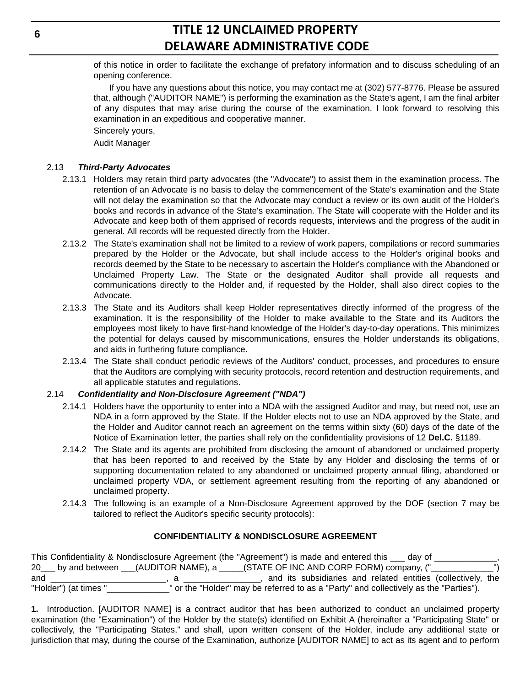of this notice in order to facilitate the exchange of prefatory information and to discuss scheduling of an opening conference.

If you have any questions about this notice, you may contact me at (302) 577-8776. Please be assured that, although ("AUDITOR NAME") is performing the examination as the State's agent, I am the final arbiter of any disputes that may arise during the course of the examination. I look forward to resolving this examination in an expeditious and cooperative manner.

Sincerely yours,

Audit Manager

## 2.13 *Third-Party Advocates*

- 2.13.1 Holders may retain third party advocates (the "Advocate") to assist them in the examination process. The retention of an Advocate is no basis to delay the commencement of the State's examination and the State will not delay the examination so that the Advocate may conduct a review or its own audit of the Holder's books and records in advance of the State's examination. The State will cooperate with the Holder and its Advocate and keep both of them apprised of records requests, interviews and the progress of the audit in general. All records will be requested directly from the Holder.
- 2.13.2 The State's examination shall not be limited to a review of work papers, compilations or record summaries prepared by the Holder or the Advocate, but shall include access to the Holder's original books and records deemed by the State to be necessary to ascertain the Holder's compliance with the Abandoned or Unclaimed Property Law. The State or the designated Auditor shall provide all requests and communications directly to the Holder and, if requested by the Holder, shall also direct copies to the Advocate.
- 2.13.3 The State and its Auditors shall keep Holder representatives directly informed of the progress of the examination. It is the responsibility of the Holder to make available to the State and its Auditors the employees most likely to have first-hand knowledge of the Holder's day-to-day operations. This minimizes the potential for delays caused by miscommunications, ensures the Holder understands its obligations, and aids in furthering future compliance.
- 2.13.4 The State shall conduct periodic reviews of the Auditors' conduct, processes, and procedures to ensure that the Auditors are complying with security protocols, record retention and destruction requirements, and all applicable statutes and regulations.

### 2.14 *Confidentiality and Non-Disclosure Agreement ("NDA")*

- 2.14.1 Holders have the opportunity to enter into a NDA with the assigned Auditor and may, but need not, use an NDA in a form approved by the State. If the Holder elects not to use an NDA approved by the State, and the Holder and Auditor cannot reach an agreement on the terms within sixty (60) days of the date of the Notice of Examination letter, the parties shall rely on the confidentiality provisions of 12 **Del.C.** §1189.
- 2.14.2 The State and its agents are prohibited from disclosing the amount of abandoned or unclaimed property that has been reported to and received by the State by any Holder and disclosing the terms of or supporting documentation related to any abandoned or unclaimed property annual filing, abandoned or unclaimed property VDA, or settlement agreement resulting from the reporting of any abandoned or unclaimed property.
- 2.14.3 The following is an example of a Non-Disclosure Agreement approved by the DOF (section 7 may be tailored to reflect the Auditor's specific security protocols):

### **CONFIDENTIALITY & NONDISCLOSURE AGREEMENT**

|                       | This Confidentiality & Nondisclosure Agreement (the "Agreement") is made and entered this ___ day of  |
|-----------------------|-------------------------------------------------------------------------------------------------------|
|                       | 20___ by and between ___(AUDITOR NAME), a _____(STATE OF INC AND CORP FORM) company, ("_____________" |
| and                   | , and its subsidiaries and related entities (collectively, the                                        |
| "Holder") (at times " | or the "Holder" may be referred to as a "Party" and collectively as the "Parties").                   |

|  |  |  |  |  | 1. Introduction. [AUDITOR NAME] is a contract auditor that has been authorized to conduct an unclaimed property               |  |
|--|--|--|--|--|-------------------------------------------------------------------------------------------------------------------------------|--|
|  |  |  |  |  | examination (the "Examination") of the Holder by the state(s) identified on Exhibit A (hereinafter a "Participating State" or |  |
|  |  |  |  |  | collectively, the "Participating States," and shall, upon written consent of the Holder, include any additional state or      |  |
|  |  |  |  |  | jurisdiction that may, during the course of the Examination, authorize [AUDITOR NAME] to act as its agent and to perform      |  |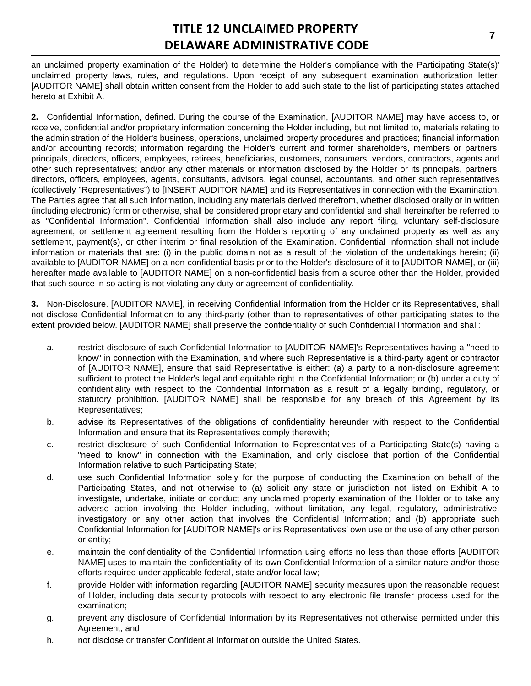an unclaimed property examination of the Holder) to determine the Holder's compliance with the Participating State(s)' unclaimed property laws, rules, and regulations. Upon receipt of any subsequent examination authorization letter, [AUDITOR NAME] shall obtain written consent from the Holder to add such state to the list of participating states attached hereto at Exhibit A.

**2.** Confidential Information, defined. During the course of the Examination, [AUDITOR NAME] may have access to, or receive, confidential and/or proprietary information concerning the Holder including, but not limited to, materials relating to the administration of the Holder's business, operations, unclaimed property procedures and practices; financial information and/or accounting records; information regarding the Holder's current and former shareholders, members or partners, principals, directors, officers, employees, retirees, beneficiaries, customers, consumers, vendors, contractors, agents and other such representatives; and/or any other materials or information disclosed by the Holder or its principals, partners, directors, officers, employees, agents, consultants, advisors, legal counsel, accountants, and other such representatives (collectively "Representatives") to [INSERT AUDITOR NAME] and its Representatives in connection with the Examination. The Parties agree that all such information, including any materials derived therefrom, whether disclosed orally or in written (including electronic) form or otherwise, shall be considered proprietary and confidential and shall hereinafter be referred to as "Confidential Information". Confidential Information shall also include any report filing, voluntary self-disclosure agreement, or settlement agreement resulting from the Holder's reporting of any unclaimed property as well as any settlement, payment(s), or other interim or final resolution of the Examination. Confidential Information shall not include information or materials that are: (i) in the public domain not as a result of the violation of the undertakings herein; (ii) available to [AUDITOR NAME] on a non-confidential basis prior to the Holder's disclosure of it to [AUDITOR NAME], or (iii) hereafter made available to [AUDITOR NAME] on a non-confidential basis from a source other than the Holder, provided that such source in so acting is not violating any duty or agreement of confidentiality.

**3.** Non-Disclosure. [AUDITOR NAME], in receiving Confidential Information from the Holder or its Representatives, shall not disclose Confidential Information to any third-party (other than to representatives of other participating states to the extent provided below. [AUDITOR NAME] shall preserve the confidentiality of such Confidential Information and shall:

- a. restrict disclosure of such Confidential Information to [AUDITOR NAME]'s Representatives having a "need to know" in connection with the Examination, and where such Representative is a third-party agent or contractor of [AUDITOR NAME], ensure that said Representative is either: (a) a party to a non-disclosure agreement sufficient to protect the Holder's legal and equitable right in the Confidential Information; or (b) under a duty of confidentiality with respect to the Confidential Information as a result of a legally binding, regulatory, or statutory prohibition. [AUDITOR NAME] shall be responsible for any breach of this Agreement by its Representatives;
- b. advise its Representatives of the obligations of confidentiality hereunder with respect to the Confidential Information and ensure that its Representatives comply therewith;
- c. restrict disclosure of such Confidential Information to Representatives of a Participating State(s) having a "need to know" in connection with the Examination, and only disclose that portion of the Confidential Information relative to such Participating State;
- d. use such Confidential Information solely for the purpose of conducting the Examination on behalf of the Participating States, and not otherwise to (a) solicit any state or jurisdiction not listed on Exhibit A to investigate, undertake, initiate or conduct any unclaimed property examination of the Holder or to take any adverse action involving the Holder including, without limitation, any legal, regulatory, administrative, investigatory or any other action that involves the Confidential Information; and (b) appropriate such Confidential Information for [AUDITOR NAME]'s or its Representatives' own use or the use of any other person or entity;
- e. maintain the confidentiality of the Confidential Information using efforts no less than those efforts [AUDITOR NAME] uses to maintain the confidentiality of its own Confidential Information of a similar nature and/or those efforts required under applicable federal, state and/or local law;
- f. provide Holder with information regarding [AUDITOR NAME] security measures upon the reasonable request of Holder, including data security protocols with respect to any electronic file transfer process used for the examination;
- g. prevent any disclosure of Confidential Information by its Representatives not otherwise permitted under this Agreement; and
- h. not disclose or transfer Confidential Information outside the United States.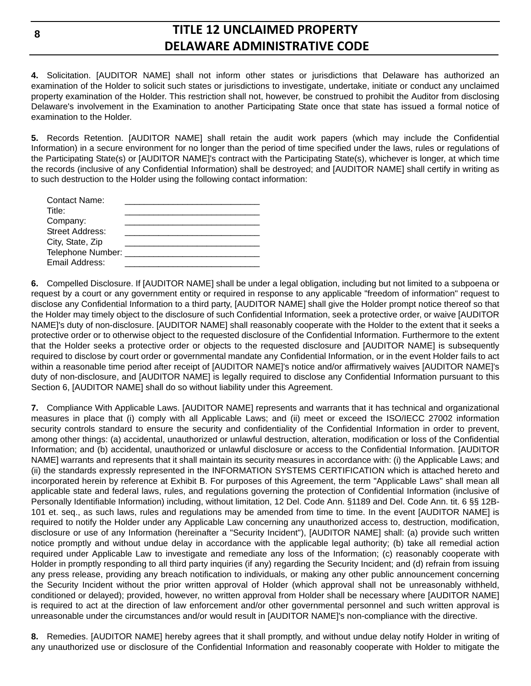**4.** Solicitation. [AUDITOR NAME] shall not inform other states or jurisdictions that Delaware has authorized an examination of the Holder to solicit such states or jurisdictions to investigate, undertake, initiate or conduct any unclaimed property examination of the Holder. This restriction shall not, however, be construed to prohibit the Auditor from disclosing Delaware's involvement in the Examination to another Participating State once that state has issued a formal notice of examination to the Holder.

**5.** Records Retention. [AUDITOR NAME] shall retain the audit work papers (which may include the Confidential Information) in a secure environment for no longer than the period of time specified under the laws, rules or regulations of the Participating State(s) or [AUDITOR NAME]'s contract with the Participating State(s), whichever is longer, at which time the records (inclusive of any Confidential Information) shall be destroyed; and [AUDITOR NAME] shall certify in writing as to such destruction to the Holder using the following contact information:

**6.** Compelled Disclosure. If [AUDITOR NAME] shall be under a legal obligation, including but not limited to a subpoena or request by a court or any government entity or required in response to any applicable "freedom of information" request to disclose any Confidential Information to a third party, [AUDITOR NAME] shall give the Holder prompt notice thereof so that the Holder may timely object to the disclosure of such Confidential Information, seek a protective order, or waive [AUDITOR NAME]'s duty of non-disclosure. [AUDITOR NAME] shall reasonably cooperate with the Holder to the extent that it seeks a protective order or to otherwise object to the requested disclosure of the Confidential Information. Furthermore to the extent that the Holder seeks a protective order or objects to the requested disclosure and [AUDITOR NAME] is subsequently required to disclose by court order or governmental mandate any Confidential Information, or in the event Holder fails to act within a reasonable time period after receipt of [AUDITOR NAME]'s notice and/or affirmatively waives [AUDITOR NAME]'s duty of non-disclosure, and [AUDITOR NAME] is legally required to disclose any Confidential Information pursuant to this Section 6, [AUDITOR NAME] shall do so without liability under this Agreement.

**7.** Compliance With Applicable Laws. [AUDITOR NAME] represents and warrants that it has technical and organizational measures in place that (i) comply with all Applicable Laws; and (ii) meet or exceed the ISO/IECC 27002 information security controls standard to ensure the security and confidentiality of the Confidential Information in order to prevent, among other things: (a) accidental, unauthorized or unlawful destruction, alteration, modification or loss of the Confidential Information; and (b) accidental, unauthorized or unlawful disclosure or access to the Confidential Information. [AUDITOR NAME] warrants and represents that it shall maintain its security measures in accordance with: (i) the Applicable Laws; and (ii) the standards expressly represented in the INFORMATION SYSTEMS CERTIFICATION which is attached hereto and incorporated herein by reference at Exhibit B. For purposes of this Agreement, the term "Applicable Laws" shall mean all applicable state and federal laws, rules, and regulations governing the protection of Confidential Information (inclusive of Personally Identifiable Information) including, without limitation, 12 Del. Code Ann. §1189 and Del. Code Ann. tit. 6 §§ 12B-101 et. seq., as such laws, rules and regulations may be amended from time to time. In the event [AUDITOR NAME] is required to notify the Holder under any Applicable Law concerning any unauthorized access to, destruction, modification, disclosure or use of any Information (hereinafter a "Security Incident"), [AUDITOR NAME] shall: (a) provide such written notice promptly and without undue delay in accordance with the applicable legal authority; (b) take all remedial action required under Applicable Law to investigate and remediate any loss of the Information; (c) reasonably cooperate with Holder in promptly responding to all third party inquiries (if any) regarding the Security Incident; and (d) refrain from issuing any press release, providing any breach notification to individuals, or making any other public announcement concerning the Security Incident without the prior written approval of Holder (which approval shall not be unreasonably withheld, conditioned or delayed); provided, however, no written approval from Holder shall be necessary where [AUDITOR NAME] is required to act at the direction of law enforcement and/or other governmental personnel and such written approval is unreasonable under the circumstances and/or would result in [AUDITOR NAME]'s non-compliance with the directive.

**8.** Remedies. [AUDITOR NAME] hereby agrees that it shall promptly, and without undue delay notify Holder in writing of any unauthorized use or disclosure of the Confidential Information and reasonably cooperate with Holder to mitigate the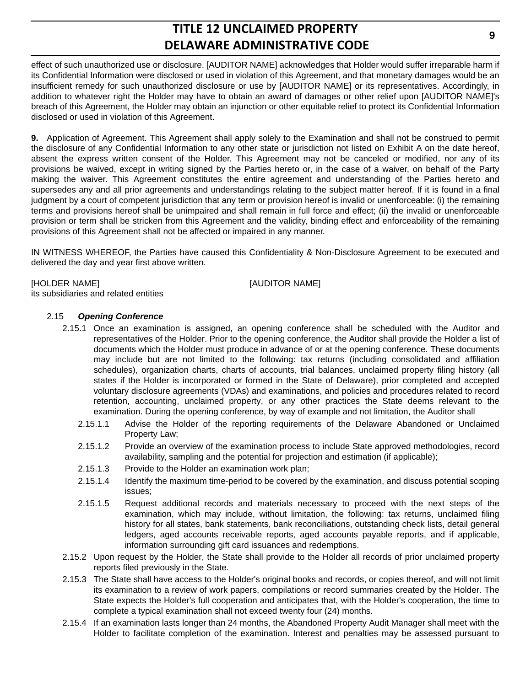effect of such unauthorized use or disclosure. [AUDITOR NAME] acknowledges that Holder would suffer irreparable harm if its Confidential Information were disclosed or used in violation of this Agreement, and that monetary damages would be an insufficient remedy for such unauthorized disclosure or use by [AUDITOR NAME] or its representatives. Accordingly, in addition to whatever right the Holder may have to obtain an award of damages or other relief upon [AUDITOR NAME]'s breach of this Agreement, the Holder may obtain an injunction or other equitable relief to protect its Confidential Information disclosed or used in violation of this Agreement.

**9.** Application of Agreement. This Agreement shall apply solely to the Examination and shall not be construed to permit the disclosure of any Confidential Information to any other state or jurisdiction not listed on Exhibit A on the date hereof, absent the express written consent of the Holder. This Agreement may not be canceled or modified, nor any of its provisions be waived, except in writing signed by the Parties hereto or, in the case of a waiver, on behalf of the Party making the waiver. This Agreement constitutes the entire agreement and understanding of the Parties hereto and supersedes any and all prior agreements and understandings relating to the subject matter hereof. If it is found in a final judgment by a court of competent jurisdiction that any term or provision hereof is invalid or unenforceable: (i) the remaining terms and provisions hereof shall be unimpaired and shall remain in full force and effect; (ii) the invalid or unenforceable provision or term shall be stricken from this Agreement and the validity, binding effect and enforceability of the remaining provisions of this Agreement shall not be affected or impaired in any manner.

IN WITNESS WHEREOF, the Parties have caused this Confidentiality & Non-Disclosure Agreement to be executed and delivered the day and year first above written.

[HOLDER NAME] [AUDITOR NAME]

# its subsidiaries and related entities 2.15 *Opening Conference*

- 2.15.1 Once an examination is assigned, an opening conference shall be scheduled with the Auditor and representatives of the Holder. Prior to the opening conference, the Auditor shall provide the Holder a list of documents which the Holder must produce in advance of or at the opening conference. These documents may include but are not limited to the following: tax returns (including consolidated and affiliation schedules), organization charts, charts of accounts, trial balances, unclaimed property filing history (all states if the Holder is incorporated or formed in the State of Delaware), prior completed and accepted voluntary disclosure agreements (VDAs) and examinations, and policies and procedures related to record retention, accounting, unclaimed property, or any other practices the State deems relevant to the examination. During the opening conference, by way of example and not limitation, the Auditor shall
	- 2.15.1.1 Advise the Holder of the reporting requirements of the Delaware Abandoned or Unclaimed Property Law;
	- 2.15.1.2 Provide an overview of the examination process to include State approved methodologies, record availability, sampling and the potential for projection and estimation (if applicable);
	- 2.15.1.3 Provide to the Holder an examination work plan;
	- 2.15.1.4 Identify the maximum time-period to be covered by the examination, and discuss potential scoping issues;
	- 2.15.1.5 Request additional records and materials necessary to proceed with the next steps of the examination, which may include, without limitation, the following: tax returns, unclaimed filing history for all states, bank statements, bank reconciliations, outstanding check lists, detail general ledgers, aged accounts receivable reports, aged accounts payable reports, and if applicable, information surrounding gift card issuances and redemptions.
- 2.15.2 Upon request by the Holder, the State shall provide to the Holder all records of prior unclaimed property reports filed previously in the State.
- 2.15.3 The State shall have access to the Holder's original books and records, or copies thereof, and will not limit its examination to a review of work papers, compilations or record summaries created by the Holder. The State expects the Holder's full cooperation and anticipates that, with the Holder's cooperation, the time to complete a typical examination shall not exceed twenty four (24) months.
- 2.15.4 If an examination lasts longer than 24 months, the Abandoned Property Audit Manager shall meet with the Holder to facilitate completion of the examination. Interest and penalties may be assessed pursuant to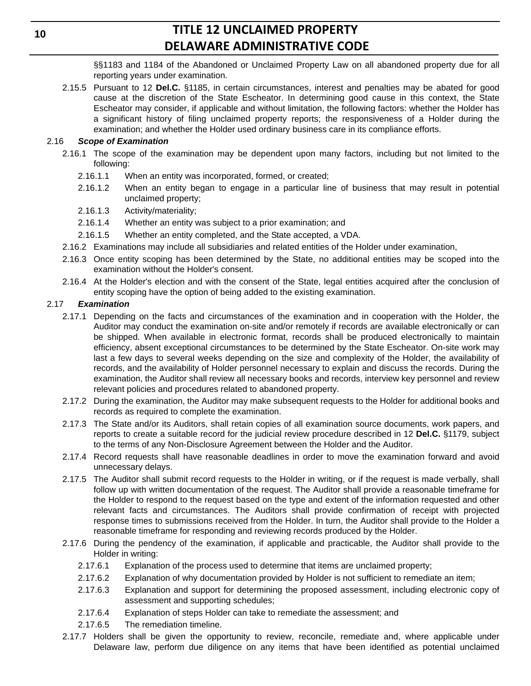§§1183 and 1184 of the Abandoned or Unclaimed Property Law on all abandoned property due for all reporting years under examination.

2.15.5 Pursuant to 12 **Del.C.** §1185, in certain circumstances, interest and penalties may be abated for good cause at the discretion of the State Escheator. In determining good cause in this context, the State Escheator may consider, if applicable and without limitation, the following factors: whether the Holder has a significant history of filing unclaimed property reports; the responsiveness of a Holder during the examination; and whether the Holder used ordinary business care in its compliance efforts.

## 2.16 *Scope of Examination*

- 2.16.1 The scope of the examination may be dependent upon many factors, including but not limited to the following:
	- 2.16.1.1 When an entity was incorporated, formed, or created;
	- 2.16.1.2 When an entity began to engage in a particular line of business that may result in potential unclaimed property;
	- 2.16.1.3 Activity/materiality;
	- 2.16.1.4 Whether an entity was subject to a prior examination; and
	- 2.16.1.5 Whether an entity completed, and the State accepted, a VDA.
- 2.16.2 Examinations may include all subsidiaries and related entities of the Holder under examination,
- 2.16.3 Once entity scoping has been determined by the State, no additional entities may be scoped into the examination without the Holder's consent.
- 2.16.4 At the Holder's election and with the consent of the State, legal entities acquired after the conclusion of entity scoping have the option of being added to the existing examination.

## 2.17 *Examination*

- 2.17.1 Depending on the facts and circumstances of the examination and in cooperation with the Holder, the Auditor may conduct the examination on-site and/or remotely if records are available electronically or can be shipped. When available in electronic format, records shall be produced electronically to maintain efficiency, absent exceptional circumstances to be determined by the State Escheator. On-site work may last a few days to several weeks depending on the size and complexity of the Holder, the availability of records, and the availability of Holder personnel necessary to explain and discuss the records. During the examination, the Auditor shall review all necessary books and records, interview key personnel and review relevant policies and procedures related to abandoned property.
- 2.17.2 During the examination, the Auditor may make subsequent requests to the Holder for additional books and records as required to complete the examination.
- 2.17.3 The State and/or its Auditors, shall retain copies of all examination source documents, work papers, and reports to create a suitable record for the judicial review procedure described in 12 **Del.C.** §1179, subject to the terms of any Non-Disclosure Agreement between the Holder and the Auditor.
- 2.17.4 Record requests shall have reasonable deadlines in order to move the examination forward and avoid unnecessary delays.
- 2.17.5 The Auditor shall submit record requests to the Holder in writing, or if the request is made verbally, shall follow up with written documentation of the request. The Auditor shall provide a reasonable timeframe for the Holder to respond to the request based on the type and extent of the information requested and other relevant facts and circumstances. The Auditors shall provide confirmation of receipt with projected response times to submissions received from the Holder. In turn, the Auditor shall provide to the Holder a reasonable timeframe for responding and reviewing records produced by the Holder.
- 2.17.6 During the pendency of the examination, if applicable and practicable, the Auditor shall provide to the Holder in writing:
	- 2.17.6.1 Explanation of the process used to determine that items are unclaimed property;
	- 2.17.6.2 Explanation of why documentation provided by Holder is not sufficient to remediate an item;
	- 2.17.6.3 Explanation and support for determining the proposed assessment, including electronic copy of assessment and supporting schedules;
	- 2.17.6.4 Explanation of steps Holder can take to remediate the assessment; and
	- 2.17.6.5 The remediation timeline.
- 2.17.7 Holders shall be given the opportunity to review, reconcile, remediate and, where applicable under Delaware law, perform due diligence on any items that have been identified as potential unclaimed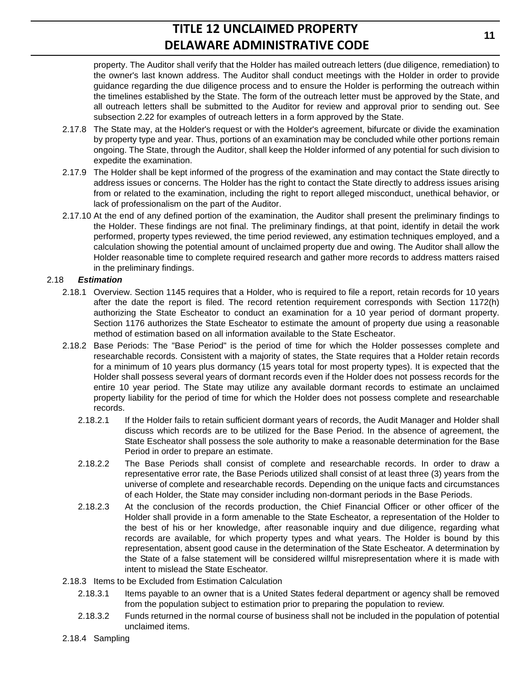property. The Auditor shall verify that the Holder has mailed outreach letters (due diligence, remediation) to the owner's last known address. The Auditor shall conduct meetings with the Holder in order to provide guidance regarding the due diligence process and to ensure the Holder is performing the outreach within the timelines established by the State. The form of the outreach letter must be approved by the State, and all outreach letters shall be submitted to the Auditor for review and approval prior to sending out. See subsection 2.22 for examples of outreach letters in a form approved by the State.

- 2.17.8 The State may, at the Holder's request or with the Holder's agreement, bifurcate or divide the examination by property type and year. Thus, portions of an examination may be concluded while other portions remain ongoing. The State, through the Auditor, shall keep the Holder informed of any potential for such division to expedite the examination.
- 2.17.9 The Holder shall be kept informed of the progress of the examination and may contact the State directly to address issues or concerns. The Holder has the right to contact the State directly to address issues arising from or related to the examination, including the right to report alleged misconduct, unethical behavior, or lack of professionalism on the part of the Auditor.
- 2.17.10 At the end of any defined portion of the examination, the Auditor shall present the preliminary findings to the Holder. These findings are not final. The preliminary findings, at that point, identify in detail the work performed, property types reviewed, the time period reviewed, any estimation techniques employed, and a calculation showing the potential amount of unclaimed property due and owing. The Auditor shall allow the Holder reasonable time to complete required research and gather more records to address matters raised in the preliminary findings.

### 2.18 *Estimation*

- 2.18.1 Overview. Section 1145 requires that a Holder, who is required to file a report, retain records for 10 years after the date the report is filed. The record retention requirement corresponds with Section 1172(h) authorizing the State Escheator to conduct an examination for a 10 year period of dormant property. Section 1176 authorizes the State Escheator to estimate the amount of property due using a reasonable method of estimation based on all information available to the State Escheator.
- 2.18.2 Base Periods: The "Base Period" is the period of time for which the Holder possesses complete and researchable records. Consistent with a majority of states, the State requires that a Holder retain records for a minimum of 10 years plus dormancy (15 years total for most property types). It is expected that the Holder shall possess several years of dormant records even if the Holder does not possess records for the entire 10 year period. The State may utilize any available dormant records to estimate an unclaimed property liability for the period of time for which the Holder does not possess complete and researchable records.
	- 2.18.2.1 If the Holder fails to retain sufficient dormant years of records, the Audit Manager and Holder shall discuss which records are to be utilized for the Base Period. In the absence of agreement, the State Escheator shall possess the sole authority to make a reasonable determination for the Base Period in order to prepare an estimate.
	- 2.18.2.2 The Base Periods shall consist of complete and researchable records. In order to draw a representative error rate, the Base Periods utilized shall consist of at least three (3) years from the universe of complete and researchable records. Depending on the unique facts and circumstances of each Holder, the State may consider including non-dormant periods in the Base Periods.
	- 2.18.2.3 At the conclusion of the records production, the Chief Financial Officer or other officer of the Holder shall provide in a form amenable to the State Escheator, a representation of the Holder to the best of his or her knowledge, after reasonable inquiry and due diligence, regarding what records are available, for which property types and what years. The Holder is bound by this representation, absent good cause in the determination of the State Escheator. A determination by the State of a false statement will be considered willful misrepresentation where it is made with intent to mislead the State Escheator.
- 2.18.3 Items to be Excluded from Estimation Calculation
	- 2.18.3.1 Items payable to an owner that is a United States federal department or agency shall be removed from the population subject to estimation prior to preparing the population to review.
	- 2.18.3.2 Funds returned in the normal course of business shall not be included in the population of potential unclaimed items.
- 2.18.4 Sampling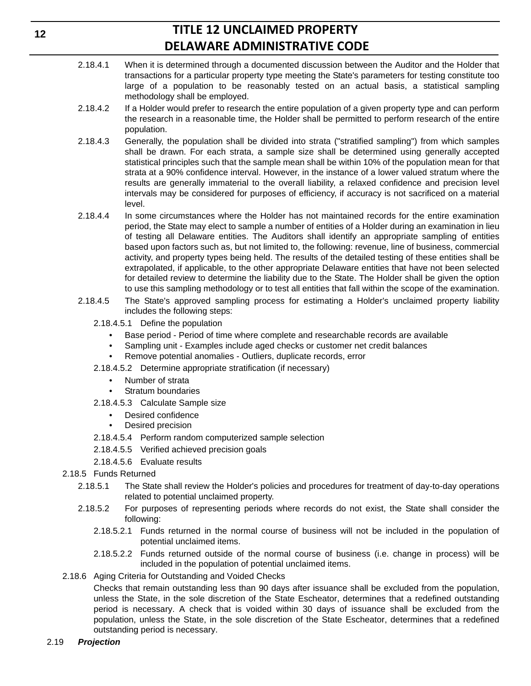- 2.18.4.1 When it is determined through a documented discussion between the Auditor and the Holder that transactions for a particular property type meeting the State's parameters for testing constitute too large of a population to be reasonably tested on an actual basis, a statistical sampling methodology shall be employed.
- 2.18.4.2 If a Holder would prefer to research the entire population of a given property type and can perform the research in a reasonable time, the Holder shall be permitted to perform research of the entire population.
- 2.18.4.3 Generally, the population shall be divided into strata ("stratified sampling") from which samples shall be drawn. For each strata, a sample size shall be determined using generally accepted statistical principles such that the sample mean shall be within 10% of the population mean for that strata at a 90% confidence interval. However, in the instance of a lower valued stratum where the results are generally immaterial to the overall liability, a relaxed confidence and precision level intervals may be considered for purposes of efficiency, if accuracy is not sacrificed on a material level.
- 2.18.4.4 In some circumstances where the Holder has not maintained records for the entire examination period, the State may elect to sample a number of entities of a Holder during an examination in lieu of testing all Delaware entities. The Auditors shall identify an appropriate sampling of entities based upon factors such as, but not limited to, the following: revenue, line of business, commercial activity, and property types being held. The results of the detailed testing of these entities shall be extrapolated, if applicable, to the other appropriate Delaware entities that have not been selected for detailed review to determine the liability due to the State. The Holder shall be given the option to use this sampling methodology or to test all entities that fall within the scope of the examination.
- 2.18.4.5 The State's approved sampling process for estimating a Holder's unclaimed property liability includes the following steps:
	- 2.18.4.5.1 Define the population
		- Base period Period of time where complete and researchable records are available
		- Sampling unit Examples include aged checks or customer net credit balances
		- Remove potential anomalies Outliers, duplicate records, error
	- 2.18.4.5.2 Determine appropriate stratification (if necessary)
		- Number of strata
		- Stratum boundaries
	- 2.18.4.5.3 Calculate Sample size
		- Desired confidence
		- Desired precision
	- 2.18.4.5.4 Perform random computerized sample selection
	- 2.18.4.5.5 Verified achieved precision goals
	- 2.18.4.5.6 Evaluate results
- 2.18.5 Funds Returned
	- 2.18.5.1 The State shall review the Holder's policies and procedures for treatment of day-to-day operations related to potential unclaimed property.
	- 2.18.5.2 For purposes of representing periods where records do not exist, the State shall consider the following:
		- 2.18.5.2.1 Funds returned in the normal course of business will not be included in the population of potential unclaimed items.
		- 2.18.5.2.2 Funds returned outside of the normal course of business (i.e. change in process) will be included in the population of potential unclaimed items.
- 2.18.6 Aging Criteria for Outstanding and Voided Checks

Checks that remain outstanding less than 90 days after issuance shall be excluded from the population, unless the State, in the sole discretion of the State Escheator, determines that a redefined outstanding period is necessary. A check that is voided within 30 days of issuance shall be excluded from the population, unless the State, in the sole discretion of the State Escheator, determines that a redefined outstanding period is necessary.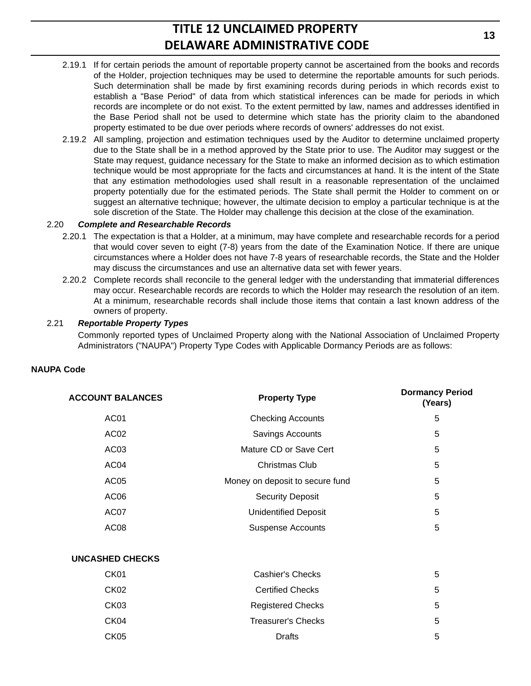- 2.19.1 If for certain periods the amount of reportable property cannot be ascertained from the books and records of the Holder, projection techniques may be used to determine the reportable amounts for such periods. Such determination shall be made by first examining records during periods in which records exist to establish a "Base Period" of data from which statistical inferences can be made for periods in which records are incomplete or do not exist. To the extent permitted by law, names and addresses identified in the Base Period shall not be used to determine which state has the priority claim to the abandoned property estimated to be due over periods where records of owners' addresses do not exist.
- 2.19.2 All sampling, projection and estimation techniques used by the Auditor to determine unclaimed property due to the State shall be in a method approved by the State prior to use. The Auditor may suggest or the State may request, guidance necessary for the State to make an informed decision as to which estimation technique would be most appropriate for the facts and circumstances at hand. It is the intent of the State that any estimation methodologies used shall result in a reasonable representation of the unclaimed property potentially due for the estimated periods. The State shall permit the Holder to comment on or suggest an alternative technique; however, the ultimate decision to employ a particular technique is at the sole discretion of the State. The Holder may challenge this decision at the close of the examination.

#### 2.20 *Complete and Researchable Records*

- 2.20.1 The expectation is that a Holder, at a minimum, may have complete and researchable records for a period that would cover seven to eight (7-8) years from the date of the Examination Notice. If there are unique circumstances where a Holder does not have 7-8 years of researchable records, the State and the Holder may discuss the circumstances and use an alternative data set with fewer years.
- 2.20.2 Complete records shall reconcile to the general ledger with the understanding that immaterial differences may occur. Researchable records are records to which the Holder may research the resolution of an item. At a minimum, researchable records shall include those items that contain a last known address of the owners of property.

#### 2.21 *Reportable Property Types*

Commonly reported types of Unclaimed Property along with the National Association of Unclaimed Property Administrators ("NAUPA") Property Type Codes with Applicable Dormancy Periods are as follows:

#### **NAUPA Code**

| <b>ACCOUNT BALANCES</b> | <b>Property Type</b>            | <b>Dormancy Period</b><br>(Years) |
|-------------------------|---------------------------------|-----------------------------------|
| AC <sub>01</sub>        | <b>Checking Accounts</b>        | 5                                 |
| AC <sub>02</sub>        | Savings Accounts                | 5                                 |
| AC <sub>03</sub>        | Mature CD or Save Cert          | 5                                 |
| AC <sub>04</sub>        | Christmas Club                  | 5                                 |
| AC <sub>05</sub>        | Money on deposit to secure fund | 5                                 |
| AC <sub>06</sub>        | <b>Security Deposit</b>         | 5                                 |
| AC07                    | <b>Unidentified Deposit</b>     | 5                                 |
| AC <sub>08</sub>        | <b>Suspense Accounts</b>        | 5                                 |
|                         |                                 |                                   |

#### **UNCASHED CHECKS**

| CK <sub>01</sub> | Cashier's Checks          | 5 |
|------------------|---------------------------|---|
| CK <sub>02</sub> | <b>Certified Checks</b>   | 5 |
| CK <sub>03</sub> | <b>Registered Checks</b>  | 5 |
| CK04             | <b>Treasurer's Checks</b> | 5 |
| CK <sub>05</sub> | Drafts                    | 5 |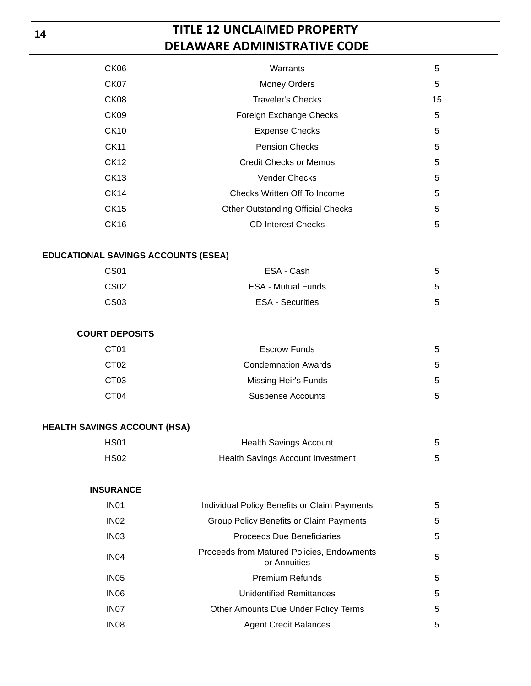| CK <sub>06</sub> | Warrants                                 | 5  |
|------------------|------------------------------------------|----|
| CK <sub>07</sub> | <b>Money Orders</b>                      | 5  |
| CK <sub>08</sub> | <b>Traveler's Checks</b>                 | 15 |
| CK <sub>09</sub> | Foreign Exchange Checks                  | 5  |
| CK <sub>10</sub> | <b>Expense Checks</b>                    | 5  |
| CK11             | <b>Pension Checks</b>                    | 5  |
| CK12             | Credit Checks or Memos                   | 5  |
| CK13             | <b>Vender Checks</b>                     | 5  |
| CK14             | Checks Written Off To Income             | 5  |
| CK15             | <b>Other Outstanding Official Checks</b> | 5  |
| <b>CK16</b>      | <b>CD Interest Checks</b>                | 5  |

#### **EDUCATIONAL SAVINGS ACCOUNTS (ESEA)**

| CS01 | ESA - Cash                | 5 |
|------|---------------------------|---|
| CS02 | <b>ESA - Mutual Funds</b> | 5 |
| CS03 | <b>ESA - Securities</b>   | 5 |

### **COURT DEPOSITS**

| CT01             | <b>Escrow Funds</b>        | 5 |
|------------------|----------------------------|---|
| CT <sub>02</sub> | <b>Condemnation Awards</b> | 5 |
| CT03             | Missing Heir's Funds       | 5 |
| CT04             | <b>Suspense Accounts</b>   | 5 |

# **HEALTH SAVINGS ACCOUNT (HSA)**

| HS <sub>01</sub> | <b>Health Savings Account</b>     |  |
|------------------|-----------------------------------|--|
| <b>HS02</b>      | Health Savings Account Investment |  |

# **INSURANCE**

| IN <sub>01</sub> | <b>Individual Policy Benefits or Claim Payments</b>        | 5 |
|------------------|------------------------------------------------------------|---|
| IN <sub>02</sub> | Group Policy Benefits or Claim Payments                    | 5 |
| IN <sub>03</sub> | <b>Proceeds Due Beneficiaries</b>                          | 5 |
| IN <sub>04</sub> | Proceeds from Matured Policies, Endowments<br>or Annuities | 5 |
| IN <sub>05</sub> | <b>Premium Refunds</b>                                     | 5 |
| IN <sub>06</sub> | Unidentified Remittances                                   | 5 |
| IN <sub>07</sub> | Other Amounts Due Under Policy Terms                       | 5 |
| IN <sub>08</sub> | <b>Agent Credit Balances</b>                               | 5 |
|                  |                                                            |   |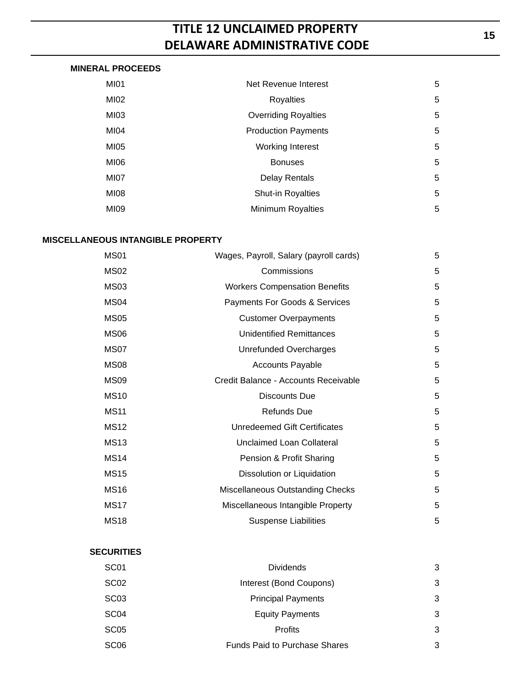# **MINERAL PROCEEDS**

| <b>MI01</b> | Net Revenue Interest        | 5 |
|-------------|-----------------------------|---|
| MI02        | <b>Royalties</b>            | 5 |
| MI03        | <b>Overriding Royalties</b> | 5 |
| MI04        | <b>Production Payments</b>  | 5 |
| MI05        | <b>Working Interest</b>     | 5 |
| MI06        | <b>Bonuses</b>              | 5 |
| MI07        | <b>Delay Rentals</b>        | 5 |
| MI08        | <b>Shut-in Royalties</b>    | 5 |
| MI09        | <b>Minimum Royalties</b>    | 5 |

### **MISCELLANEOUS INTANGIBLE PROPERTY**

| <b>MS01</b>      | Wages, Payroll, Salary (payroll cards) | 5 |
|------------------|----------------------------------------|---|
| <b>MS02</b>      | Commissions                            | 5 |
| <b>MS03</b>      | <b>Workers Compensation Benefits</b>   | 5 |
| MS <sub>04</sub> | Payments For Goods & Services          | 5 |
| <b>MS05</b>      | <b>Customer Overpayments</b>           | 5 |
| MS <sub>06</sub> | <b>Unidentified Remittances</b>        | 5 |
| MS07             | <b>Unrefunded Overcharges</b>          | 5 |
| <b>MS08</b>      | <b>Accounts Payable</b>                | 5 |
| <b>MS09</b>      | Credit Balance - Accounts Receivable   | 5 |
| <b>MS10</b>      | Discounts Due                          | 5 |
| <b>MS11</b>      | <b>Refunds Due</b>                     | 5 |
| <b>MS12</b>      | Unredeemed Gift Certificates           | 5 |
| <b>MS13</b>      | Unclaimed Loan Collateral              | 5 |
| <b>MS14</b>      | Pension & Profit Sharing               | 5 |
| <b>MS15</b>      | Dissolution or Liquidation             | 5 |
| <b>MS16</b>      | Miscellaneous Outstanding Checks       | 5 |
| <b>MS17</b>      | Miscellaneous Intangible Property      | 5 |
| <b>MS18</b>      | <b>Suspense Liabilities</b>            | 5 |

#### **SECURITIES**

| SC <sub>01</sub> | <b>Dividends</b>                     | 3 |
|------------------|--------------------------------------|---|
| SC <sub>02</sub> | Interest (Bond Coupons)              | 3 |
| SC <sub>03</sub> | <b>Principal Payments</b>            | 3 |
| SC <sub>04</sub> | <b>Equity Payments</b>               | 3 |
| SC <sub>05</sub> | <b>Profits</b>                       | 3 |
| SC <sub>06</sub> | <b>Funds Paid to Purchase Shares</b> | 3 |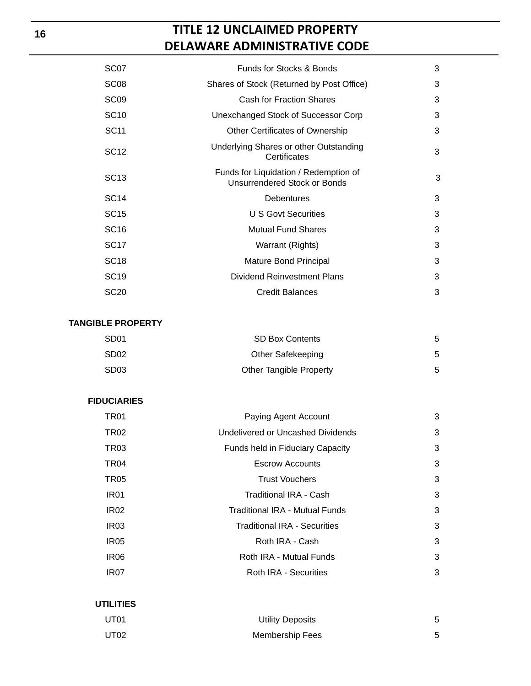| SC <sub>07</sub> | Funds for Stocks & Bonds                                              | 3 |
|------------------|-----------------------------------------------------------------------|---|
| SC <sub>08</sub> | Shares of Stock (Returned by Post Office)                             | 3 |
| SC <sub>09</sub> | Cash for Fraction Shares                                              | 3 |
| SC <sub>10</sub> | Unexchanged Stock of Successor Corp                                   | 3 |
| SC <sub>11</sub> | Other Certificates of Ownership                                       | 3 |
| SC <sub>12</sub> | Underlying Shares or other Outstanding<br>Certificates                | 3 |
| <b>SC13</b>      | Funds for Liquidation / Redemption of<br>Unsurrendered Stock or Bonds | 3 |
| SC <sub>14</sub> | Debentures                                                            | 3 |
| SC <sub>15</sub> | U S Govt Securities                                                   | 3 |
| SC <sub>16</sub> | <b>Mutual Fund Shares</b>                                             | 3 |
| <b>SC17</b>      | Warrant (Rights)                                                      | 3 |
| SC <sub>18</sub> | Mature Bond Principal                                                 | 3 |
| SC <sub>19</sub> | Dividend Reinvestment Plans                                           | 3 |
| <b>SC20</b>      | <b>Credit Balances</b>                                                | 3 |
|                  |                                                                       |   |

#### **TANGIBLE PROPERTY**

| SD01             | <b>SD Box Contents</b>         |   |
|------------------|--------------------------------|---|
| SD <sub>02</sub> | Other Safekeeping              | 5 |
| SD03             | <b>Other Tangible Property</b> |   |

# **FIDUCIARIES**

| TR01             | Paying Agent Account                |   |  |  |  |
|------------------|-------------------------------------|---|--|--|--|
| TR <sub>02</sub> | Undelivered or Uncashed Dividends   |   |  |  |  |
| TR <sub>03</sub> | Funds held in Fiduciary Capacity    | 3 |  |  |  |
| TR <sub>04</sub> | <b>Escrow Accounts</b>              | 3 |  |  |  |
| TR05             | <b>Trust Vouchers</b>               | 3 |  |  |  |
| IR <sub>01</sub> | Traditional IRA - Cash              | 3 |  |  |  |
| IR <sub>02</sub> | Traditional IRA - Mutual Funds      | 3 |  |  |  |
| IR <sub>03</sub> | <b>Traditional IRA - Securities</b> | 3 |  |  |  |
| IR <sub>05</sub> | Roth IRA - Cash                     | 3 |  |  |  |
| IR <sub>06</sub> | Roth IRA - Mutual Funds             | 3 |  |  |  |
| IR <sub>07</sub> | Roth IRA - Securities               | 3 |  |  |  |
|                  |                                     |   |  |  |  |

# **UTILITIES**

| UT01 | <b>Utility Deposits</b> |  |
|------|-------------------------|--|
| UT02 | <b>Membership Fees</b>  |  |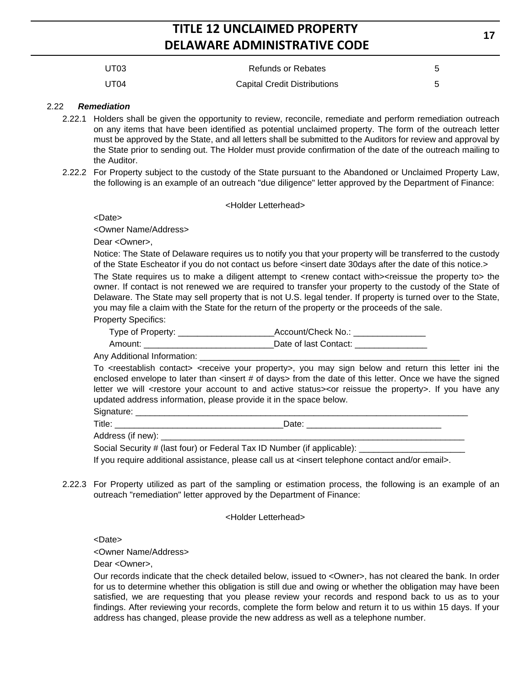| UT03 | <b>Refunds or Rebates</b>           |  |
|------|-------------------------------------|--|
| UT04 | <b>Capital Credit Distributions</b> |  |

#### 2.22 *Remediation*

- 2.22.1 Holders shall be given the opportunity to review, reconcile, remediate and perform remediation outreach on any items that have been identified as potential unclaimed property. The form of the outreach letter must be approved by the State, and all letters shall be submitted to the Auditors for review and approval by the State prior to sending out. The Holder must provide confirmation of the date of the outreach mailing to the Auditor.
- 2.22.2 For Property subject to the custody of the State pursuant to the Abandoned or Unclaimed Property Law, the following is an example of an outreach "due diligence" letter approved by the Department of Finance:

#### <Holder Letterhead>

<Date>

<Owner Name/Address>

Dear <Owner>,

Notice: The State of Delaware requires us to notify you that your property will be transferred to the custody of the State Escheator if you do not contact us before <insert date 30days after the date of this notice.> The State requires us to make a diligent attempt to <renew contact with><reissue the property to> the owner. If contact is not renewed we are required to transfer your property to the custody of the State of Delaware. The State may sell property that is not U.S. legal tender. If property is turned over to the State, you may file a claim with the State for the return of the property or the proceeds of the sale.

Property Specifics:

| Type of Property: | Account/Check No.:    |
|-------------------|-----------------------|
| Amount:           | Date of last Contact: |

Any Additional Information: \_

To <reestablish contact> <receive your property>, you may sign below and return this letter ini the enclosed envelope to later than <insert # of days> from the date of this letter. Once we have the signed letter we will <restore your account to and active status><or reissue the property>. If you have any updated address information, please provide it in the space below.

| nature.              |      |  |
|----------------------|------|--|
| Title.               | Date |  |
| Address (if<br>new): |      |  |

Social Security # (last four) or Federal Tax ID Number (if applicable):

If you require additional assistance, please call us at <insert telephone contact and/or email>.

2.22.3 For Property utilized as part of the sampling or estimation process, the following is an example of an outreach "remediation" letter approved by the Department of Finance:

<Holder Letterhead>

<Date>

<Owner Name/Address>

Dear <Owner>,

Our records indicate that the check detailed below, issued to <Owner>, has not cleared the bank. In order for us to determine whether this obligation is still due and owing or whether the obligation may have been satisfied, we are requesting that you please review your records and respond back to us as to your findings. After reviewing your records, complete the form below and return it to us within 15 days. If your address has changed, please provide the new address as well as a telephone number.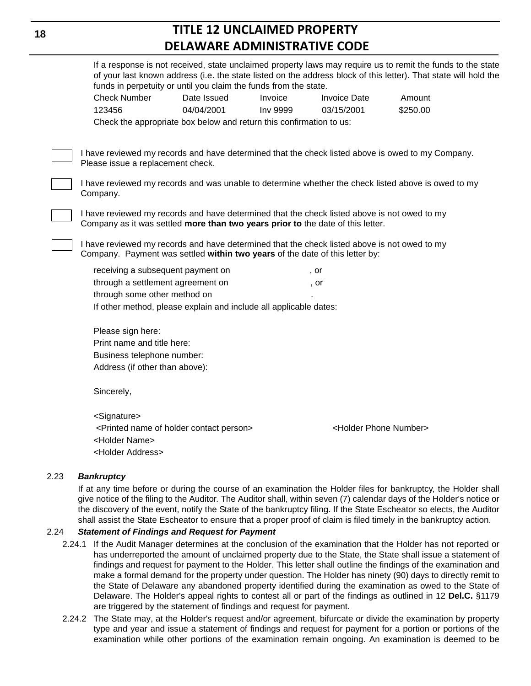|                                                                                                                                                                                 | funds in perpetuity or until you claim the funds from the state.    |          |                                      | If a response is not received, state unclaimed property laws may require us to remit the funds to the state<br>of your last known address (i.e. the state listed on the address block of this letter). That state will hold the |
|---------------------------------------------------------------------------------------------------------------------------------------------------------------------------------|---------------------------------------------------------------------|----------|--------------------------------------|---------------------------------------------------------------------------------------------------------------------------------------------------------------------------------------------------------------------------------|
| <b>Check Number</b>                                                                                                                                                             | Date Issued                                                         | Invoice  | <b>Invoice Date</b>                  | Amount                                                                                                                                                                                                                          |
| 123456                                                                                                                                                                          | 04/04/2001                                                          | Inv 9999 | 03/15/2001                           | \$250.00                                                                                                                                                                                                                        |
|                                                                                                                                                                                 | Check the appropriate box below and return this confirmation to us: |          |                                      |                                                                                                                                                                                                                                 |
| Please issue a replacement check.                                                                                                                                               |                                                                     |          |                                      | I have reviewed my records and have determined that the check listed above is owed to my Company.                                                                                                                               |
| I have reviewed my records and was unable to determine whether the check listed above is owed to my<br>Company.                                                                 |                                                                     |          |                                      |                                                                                                                                                                                                                                 |
| I have reviewed my records and have determined that the check listed above is not owed to my<br>Company as it was settled more than two years prior to the date of this letter. |                                                                     |          |                                      |                                                                                                                                                                                                                                 |
| I have reviewed my records and have determined that the check listed above is not owed to my<br>Company. Payment was settled within two years of the date of this letter by:    |                                                                     |          |                                      |                                                                                                                                                                                                                                 |
| receiving a subsequent payment on                                                                                                                                               |                                                                     |          | , or                                 |                                                                                                                                                                                                                                 |
| through a settlement agreement on                                                                                                                                               |                                                                     |          | , or                                 |                                                                                                                                                                                                                                 |
| through some other method on                                                                                                                                                    |                                                                     |          |                                      |                                                                                                                                                                                                                                 |
|                                                                                                                                                                                 | If other method, please explain and include all applicable dates:   |          |                                      |                                                                                                                                                                                                                                 |
| Please sign here:                                                                                                                                                               |                                                                     |          |                                      |                                                                                                                                                                                                                                 |
| Print name and title here:                                                                                                                                                      |                                                                     |          |                                      |                                                                                                                                                                                                                                 |
| Business telephone number:                                                                                                                                                      |                                                                     |          |                                      |                                                                                                                                                                                                                                 |
| Address (if other than above):                                                                                                                                                  |                                                                     |          |                                      |                                                                                                                                                                                                                                 |
| Sincerely,                                                                                                                                                                      |                                                                     |          |                                      |                                                                                                                                                                                                                                 |
| <signature></signature>                                                                                                                                                         |                                                                     |          |                                      |                                                                                                                                                                                                                                 |
| <holder name=""><br/><holder address=""></holder></holder>                                                                                                                      | <printed contact="" holder="" name="" of="" person=""></printed>    |          | <holder number="" phone=""></holder> |                                                                                                                                                                                                                                 |
|                                                                                                                                                                                 |                                                                     |          |                                      |                                                                                                                                                                                                                                 |

#### 2.23 *Bankruptcy*

If at any time before or during the course of an examination the Holder files for bankruptcy, the Holder shall give notice of the filing to the Auditor. The Auditor shall, within seven (7) calendar days of the Holder's notice or the discovery of the event, notify the State of the bankruptcy filing. If the State Escheator so elects, the Auditor shall assist the State Escheator to ensure that a proper proof of claim is filed timely in the bankruptcy action.

#### 2.24 *Statement of Findings and Request for Payment*

- 2.24.1 If the Audit Manager determines at the conclusion of the examination that the Holder has not reported or has underreported the amount of unclaimed property due to the State, the State shall issue a statement of findings and request for payment to the Holder. This letter shall outline the findings of the examination and make a formal demand for the property under question. The Holder has ninety (90) days to directly remit to the State of Delaware any abandoned property identified during the examination as owed to the State of Delaware. The Holder's appeal rights to contest all or part of the findings as outlined in 12 **Del.C.** §1179 are triggered by the statement of findings and request for payment.
- 2.24.2 The State may, at the Holder's request and/or agreement, bifurcate or divide the examination by property type and year and issue a statement of findings and request for payment for a portion or portions of the examination while other portions of the examination remain ongoing. An examination is deemed to be